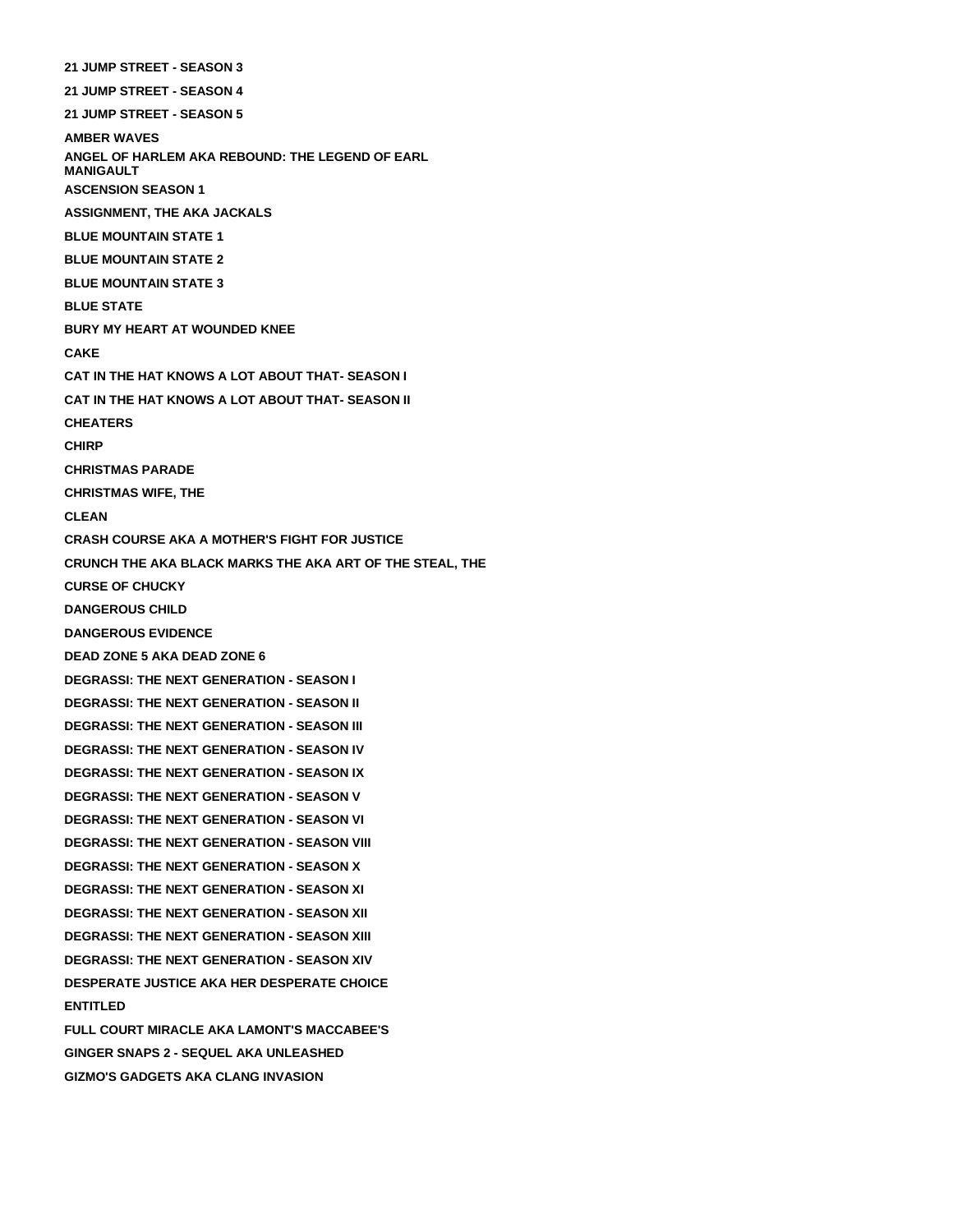**21 JUMP STREET - SEASON 3 21 JUMP STREET - SEASON 4 21 JUMP STREET - SEASON 5 AMBER WAVES ANGEL OF HARLEM AKA REBOUND: THE LEGEND OF EARL MANIGAULT ASCENSION SEASON 1 ASSIGNMENT, THE AKA JACKALS BLUE MOUNTAIN STATE 1 BLUE MOUNTAIN STATE 2 BLUE MOUNTAIN STATE 3 BLUE STATE BURY MY HEART AT WOUNDED KNEE CAKE CAT IN THE HAT KNOWS A LOT ABOUT THAT- SEASON I CAT IN THE HAT KNOWS A LOT ABOUT THAT- SEASON II CHEATERS CHIRP CHRISTMAS PARADE CHRISTMAS WIFE, THE CLEAN CRASH COURSE AKA A MOTHER'S FIGHT FOR JUSTICE CRUNCH THE AKA BLACK MARKS THE AKA ART OF THE STEAL, THE CURSE OF CHUCKY DANGEROUS CHILD DANGEROUS EVIDENCE DEAD ZONE 5 AKA DEAD ZONE 6 DEGRASSI: THE NEXT GENERATION - SEASON I DEGRASSI: THE NEXT GENERATION - SEASON II DEGRASSI: THE NEXT GENERATION - SEASON III DEGRASSI: THE NEXT GENERATION - SEASON IV DEGRASSI: THE NEXT GENERATION - SEASON IX DEGRASSI: THE NEXT GENERATION - SEASON V DEGRASSI: THE NEXT GENERATION - SEASON VI DEGRASSI: THE NEXT GENERATION - SEASON VIII DEGRASSI: THE NEXT GENERATION - SEASON X DEGRASSI: THE NEXT GENERATION - SEASON XI DEGRASSI: THE NEXT GENERATION - SEASON XII DEGRASSI: THE NEXT GENERATION - SEASON XIII DEGRASSI: THE NEXT GENERATION - SEASON XIV DESPERATE JUSTICE AKA HER DESPERATE CHOICE ENTITLED FULL COURT MIRACLE AKA LAMONT'S MACCABEE'S GINGER SNAPS 2 - SEQUEL AKA UNLEASHED**

**GIZMO'S GADGETS AKA CLANG INVASION**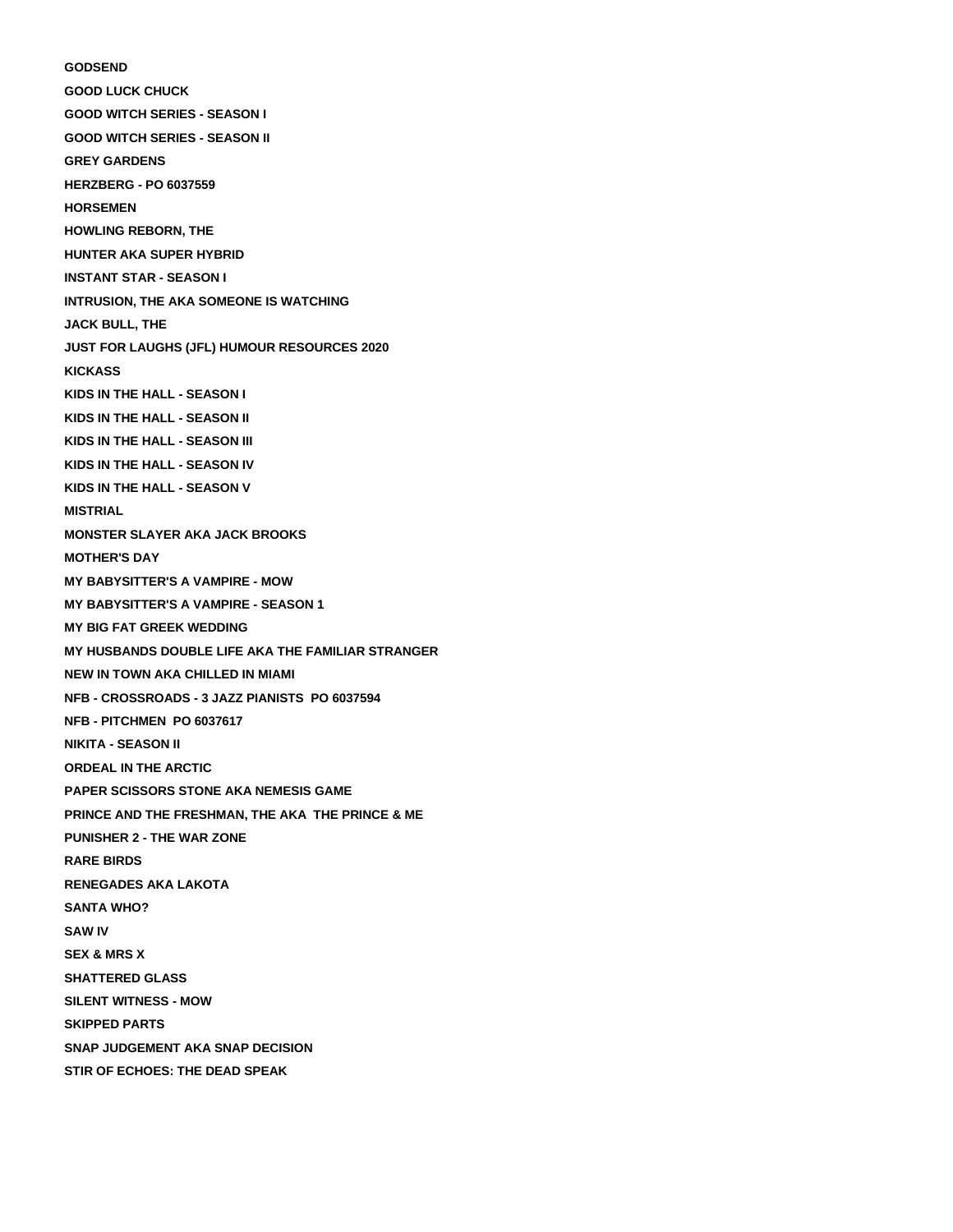## **GODSEND GOOD LUCK CHUCK GOOD WITCH SERIES - SEASON I GOOD WITCH SERIES - SEASON II GREY GARDENS HERZBERG - PO 6037559 HORSEMEN HOWLING REBORN, THE HUNTER AKA SUPER HYBRID INSTANT STAR - SEASON I INTRUSION, THE AKA SOMEONE IS WATCHING JACK BULL, THE JUST FOR LAUGHS (JFL) HUMOUR RESOURCES 2020 KICKASS KIDS IN THE HALL - SEASON I KIDS IN THE HALL - SEASON II KIDS IN THE HALL - SEASON III KIDS IN THE HALL - SEASON IV KIDS IN THE HALL - SEASON V MISTRIAL MONSTER SLAYER AKA JACK BROOKS MOTHER'S DAY MY BABYSITTER'S A VAMPIRE - MOW MY BABYSITTER'S A VAMPIRE - SEASON 1 MY BIG FAT GREEK WEDDING MY HUSBANDS DOUBLE LIFE AKA THE FAMILIAR STRANGER NEW IN TOWN AKA CHILLED IN MIAMI NFB - CROSSROADS - 3 JAZZ PIANISTS PO 6037594 NFB - PITCHMEN PO 6037617 NIKITA - SEASON II ORDEAL IN THE ARCTIC PAPER SCISSORS STONE AKA NEMESIS GAME PRINCE AND THE FRESHMAN, THE AKA THE PRINCE & ME PUNISHER 2 - THE WAR ZONE RARE BIRDS RENEGADES AKA LAKOTA SANTA WHO? SAW IV SEX & MRS X SHATTERED GLASS SILENT WITNESS - MOW SKIPPED PARTS SNAP JUDGEMENT AKA SNAP DECISION STIR OF ECHOES: THE DEAD SPEAK**